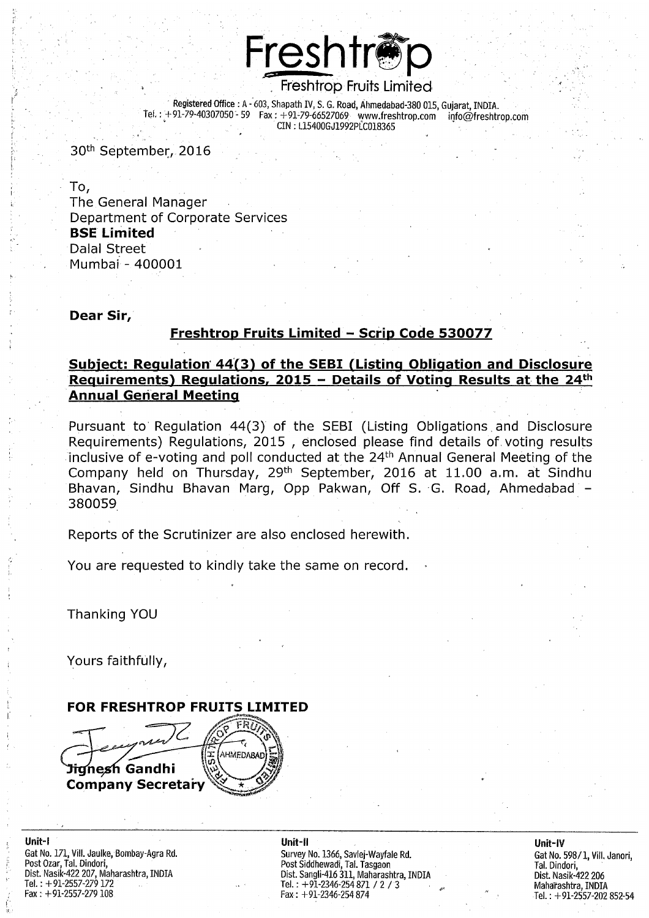

Registered Office : A - 603, Shapath IV, S. G. Road, Ahmedabad-380 015, Guiarat, INDIA. Tel.: +91-79-40307050 - 59 Fax: +91-79-66527069 www.freshtrop.com  $info@f$ reshtrop.com CIN: L15400GJ1992PLC018365

30<sup>th</sup> September, 2016

To, The General Manager Department of Corporate Services **BSE Limited** Dalal Street Mumbai - 400001

### Dear Sir,

### Freshtrop Fruits Limited - Scrip Code 530077

## Subject: Regulation 44(3) of the SEBI (Listing Obligation and Disclosure Requirements) Requlations, 2015 - Details of Voting Results at the 24<sup>th</sup> **Annual General Meeting**

Pursuant to Regulation 44(3) of the SEBI (Listing Obligations and Disclosure Requirements) Regulations, 2015, enclosed please find details of voting results inclusive of e-voting and poll conducted at the 24<sup>th</sup> Annual General Meeting of the Company held on Thursday, 29<sup>th</sup> September, 2016 at 11.00 a.m. at Sindhu Bhavan, Sindhu Bhavan Marg, Opp Pakwan, Off S. G. Road, Ahmedabad -380059

Reports of the Scrutinizer are also enclosed herewith.

You are requested to kindly take the same on record.

Thanking YOU

Yours faithfully,



Unit-I Gat No. 171, Vill. Jaulke, Bombay-Agra Rd. Post Ozar, Tal. Dindori, Dist. Nasik-422 207, Maharashtra, INDIA Tel.: +91-2557-279 172 Fax:  $+91-2557-279108$ 

Unit-II Survey No. 1366, Savlej-Wayfale Rd.<br>Post Siddhewadi, Tal. Tasgaon<br>Dist. Sangli-416 311, Maharashtra, INDIA<br>Tel. : +91-2346-254 871 / 2 / 3 Fax: +91-2346-254 874

### Unit-IV Gat No. 598/1, Vill, Janori. Tal. Dindori, Dist. Nasik-422 206 Maharashtra, INDIA Tel.: +91-2557-202 852-54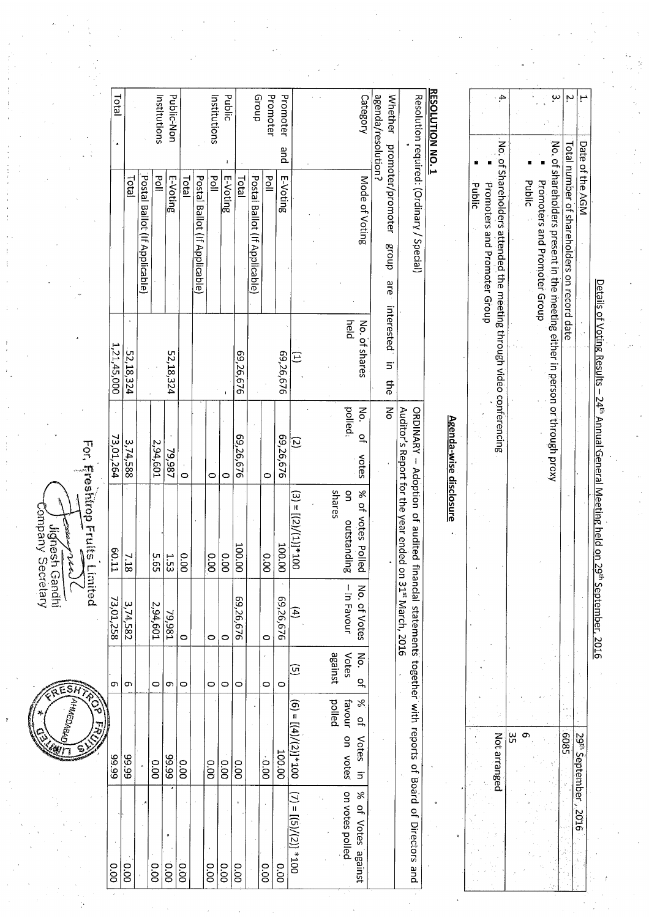ESH

Company Secretary upueo useupin جملمة

For, Freshtrop Fruits Limited

**RESOLUTION NO.** Public dnoug  $\omega$ Total Institutions Public-Non Promoter Promoter Category agenda/resolution? Whether promoter/promoter Resolution required: (Ordinary / Special)  $\mathbf{N}$ Institutions No. of shareholders present in the meeting either in person or through proxy Total number of shareholders on record date No. of Shareholders attended the meeting through video conferencing pue E-Voting  $\frac{1}{2}$ E-Voting Mode of Voting E-Voting Total poll Postal Ballot (If Applicable) **Lota** Postal Ballot (If Applicable) Postal Ballot (If Applicable) Total  $\overline{P}$ Public Promoters and Promoter Group Promoters and Promoter Group **Public** dnoug are interested held No. of shares 1,21,45,000 52,18,324 69,26,676 52,18,324 69,26,676  $\widehat{\Xi}$  $\overline{5}$ the  $\sum_{i=1}^{n}$ δ polled: ORDINARY - Adoption of audited financial statements together with reports of Board of Directors and Auditor's Report for the year ended on 31<sup>st</sup> March, 2016 Agenda-wise disclosure  $\frac{1}{2}$ 69,26,676 69,26,676 73,01,264  $\overline{c}$  $\frac{3,74,588}{2}$  $2,94,601$ 79,987 votes  $\circ$  $\circ$  $\circ$ ò  $\mathsf{g}$ % of votes Polled spares  $(3) = \frac{[(2)/(1)]^* 100}{2}$ outstanding 100.00 100.00 60.11  $\frac{0.00}{\pi}$ 0.00  $\overline{\ddot{\text{ss}}}$  $\overline{5.65}$  $\frac{1.53}{2}$  $\overline{60}$  $\frac{7.18}{ }$ - In Favour No. of Votes 69,26,676 69,26,676 73,01,258  $\frac{3,74,582}{2}$ 2,94,601 79,981 E  $\circ$  $\epsilon$  $\circ$  $\circ$ Votes No. against  $\widehat{\mathbf{G}}$  $\overline{a}$  $\sigma$  $\circ$ **ာ**  $\circ$  $\circ$  $\circ$  $\circ$  $\circ$  $\sigma$  $\ddot{\circ}$ palled favour  $\aleph$  $(6) = [(4)/(2)]^{*}100$  $\frac{1}{2}$ 5809  $\sigma$ Not arranged ِس<br>س on votes Votes in 100.00 66'66 66.66 66'66  $0.000$ 0.00 ခြ  $0.00$  $0.00$  $0.00$ on votes polled  $(7) = \frac{[(5)/(2)]}{4} \cdot 100$ % of Votes against  $0.00$  $\overline{60}$  $0.00$  $\frac{1}{8}$  $\overline{0.00}$ 0.00  $\overline{0.00}$  $\overline{18}$  $\overline{\overset{0}{8}}$  $\frac{1}{8}$ 

<u> Details of Voting Results – 24<sup>th</sup> Annual General Meeting held on 29<sup>th</sup> September, 2016</u>

29<sup>th</sup> September, 2016

Date of the AGM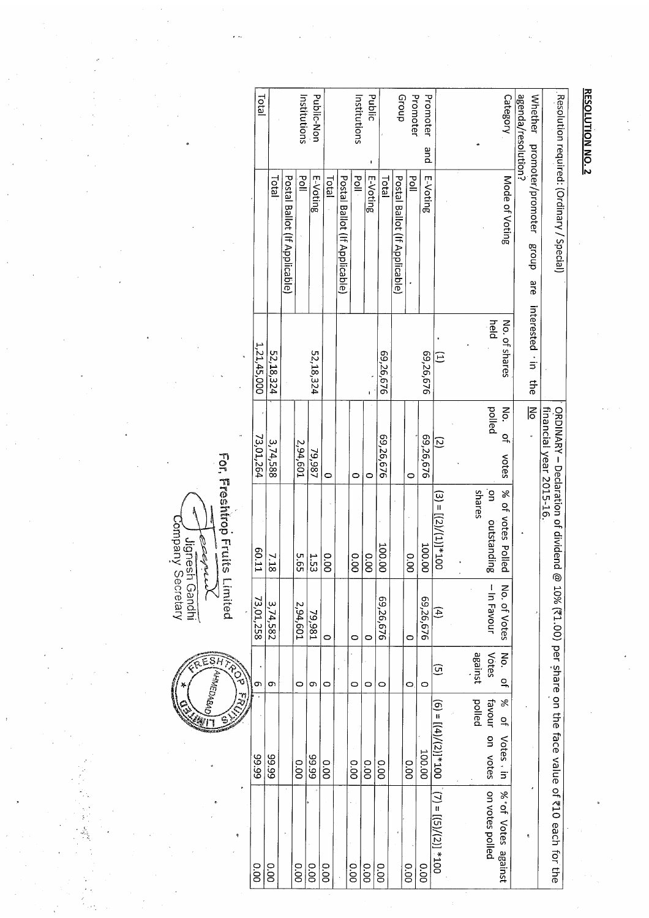|                               | Resolution required: (Ordinary / Special) |                        |                         | ORDINARY - Declaration of dividend |                   |                  |                                     |                                                                                                                                                                                  |
|-------------------------------|-------------------------------------------|------------------------|-------------------------|------------------------------------|-------------------|------------------|-------------------------------------|----------------------------------------------------------------------------------------------------------------------------------------------------------------------------------|
|                               |                                           |                        | financial year 2015-16. |                                    |                   |                  |                                     | @ 10% (₹1.00) per share on the face value of ₹10 each for the                                                                                                                    |
| agenda/resolution?<br>Whether | promoter/promoter<br>dno.18<br>are        | interested · in<br>the | Ιś                      |                                    |                   |                  |                                     | ę.                                                                                                                                                                               |
| Category                      | Mode of Voting                            | No. of shares          | No.<br>우<br>votes       | % of votes Polled                  | No. of Votes      | No.<br>윽         | X<br>$\tilde{\sigma}$<br>Votes , in | % of Votes against                                                                                                                                                               |
|                               |                                           | held                   | palled                  | shares<br>g<br>outstanding         | -In Favour        | against<br>Votes | polled<br>favour on votes           | on votes polled                                                                                                                                                                  |
|                               |                                           |                        |                         |                                    |                   |                  |                                     |                                                                                                                                                                                  |
|                               |                                           | $\widehat{\Xi}$        | $\overline{6}$          | $(3) = (2)/(11)/(11)$              | $\left( 4\right)$ | ⊙                |                                     | $(6) = \frac{1}{4} \left( \frac{4}{\sqrt{2}} \right) = \frac{1}{2} \left( \frac{7}{2} \right) = \frac{1}{2} \left( \frac{5}{2} \right) = \frac{1}{2} \left( \frac{2}{2} \right)$ |
| Promoter<br>pue               | E-Voting                                  | 69,26,676              | 69,26,676               | 100.00                             | 69,26,676         | 0                | 100.00                              | 0.00                                                                                                                                                                             |
| Promoter                      | $\overline{\mathsf{S}}$                   |                        | 0                       | 00.0                               | O                 | 0                | 0.00                                | 0.00                                                                                                                                                                             |
| dnoug                         | Postal Ballot (If Applicable)             |                        |                         |                                    |                   |                  |                                     |                                                                                                                                                                                  |
|                               | Total                                     | 69,26,676              | 69,26,676               | 100.00                             | 69,26,676         | 0                | 0.00                                | 0.00                                                                                                                                                                             |
| <b>Public</b>                 | E-Voting                                  | Ţ                      | 0                       | 0.00                               | $\circ$           | 0                | 0.00                                | 0.00                                                                                                                                                                             |
| Institutions                  | $\frac{1}{2}$                             |                        | 0                       | 0.00                               | $\circ$           | 0                | 0.00                                | 00.0                                                                                                                                                                             |
|                               | Postal Ballot (If Applicable)             |                        |                         |                                    |                   |                  |                                     |                                                                                                                                                                                  |
|                               | Total                                     |                        | $\circ$                 | 0.00                               | $\circ$           | 0                | 00.0                                | 0.00                                                                                                                                                                             |
| Public-Non                    | E-Voting                                  | 52,18,324              | 79,987                  | 1.53                               | 79,981            | Ö                | 66'66                               | 00.0                                                                                                                                                                             |
| Institutions                  | $\frac{1}{2}$                             |                        | 2,94,601                | 595                                | 2,94,601          | $\circ$          | 00.0                                | 0.00                                                                                                                                                                             |
|                               | Postal Ballot (If Applicable)             |                        |                         |                                    |                   |                  |                                     |                                                                                                                                                                                  |
|                               | <b>Total</b>                              | 52,18,324              | 3,74,588                | 7.18                               | 3,74,582          | 9                | 66.66                               | 0.00                                                                                                                                                                             |
| <b>Idd</b>                    |                                           | 1,21,45,000            | 73,01,264               | ED.11                              | 73,01,258         | თ                | 66:66                               | 0.00                                                                                                                                                                             |
|                               |                                           |                        |                         |                                    |                   | LCP              | Z                                   | Ÿ                                                                                                                                                                                |

ESA **AHMEDABA** 

For, Freshtrop Fruits Limited ~ J Jignesh Gandhi<br>"Company Secretary eeghild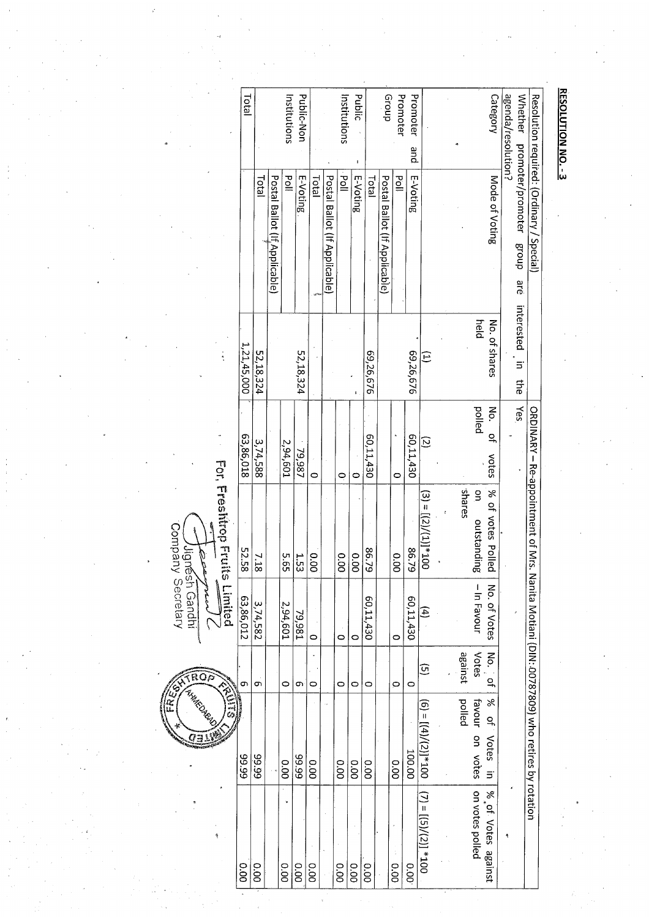|                                      | <b>Total</b>   |              |                                | Institutions  | Public-Non |             |                               | Institutions | public   |              | Group                         | Promoter      | Promoter<br>pue |                                                                                   |         |                             | Category                      | agenda/resolution?<br><b>Whether</b> |                                                        |
|--------------------------------------|----------------|--------------|--------------------------------|---------------|------------|-------------|-------------------------------|--------------|----------|--------------|-------------------------------|---------------|-----------------|-----------------------------------------------------------------------------------|---------|-----------------------------|-------------------------------|--------------------------------------|--------------------------------------------------------|
|                                      |                | <b>Total</b> | Postal Ballot (If, Applicable) | $\frac{5}{6}$ | E-Voting   | <b>Tota</b> | Postal Ballot (If Applicable) | iod<br>Doll  | E-Voting | <b>Total</b> | Postal Ballot (If Applicable) | $\frac{1}{2}$ | E-Voting        |                                                                                   |         |                             | Mode of Voting                | promoter/promoter group are          | Resolution required: (Ordinary / Special)              |
|                                      | 1, 21, 45, 000 | 52,18,324    |                                |               | 52,18,324  |             |                               |              |          | 69,26,676    |                               |               | 69,26,676       | $\widehat{E}$                                                                     |         | held                        | No. of shares                 | interested<br>$\equiv$<br>₽          |                                                        |
|                                      | 63,86,018      | 3,74,588     |                                | 2,94,601      | 79,987     | 0           |                               | Q            | c        | 60,11,430    |                               | 0             | 60,11,430       | $\overline{c}$                                                                    |         | polled                      | ξ.<br>$\overline{a}$<br>votes | kes                                  |                                                        |
| <b>For. Freshirop Fruits Limited</b> | 52.58          | 7.18         |                                | 5.65          | 1.53       | 0.00        |                               | 00°          | 0.00     | 86.79        |                               | 0.00          | 86.79           | $(3) = \frac{1}{2} \left( \frac{2}{2} \right) / \left( \frac{1}{2} \right) = 100$ | sanares | $\mathbf{S}$<br>outstanding | % of votes Polled             |                                      | ORDINAY - Re-appointment of Nrs.                       |
|                                      | 63,86,012      | 3,74,582     |                                | 2,94,601      | 79,981     | $\circ$     |                               | $\circ$      | $\circ$  | 60,11,430    |                               | $\circ$       | 60,11,430       | $\mathcal{F}$                                                                     |         | -In Favour                  | No. of Votes                  |                                      |                                                        |
|                                      | თ              | 9            |                                | $\circ$       | Ō          | 0           |                               | $\circ$      | O        | O            |                               | $\circ$       | 0               | ⊙                                                                                 | against | Votes                       | No. of                        |                                      |                                                        |
| ENES                                 | 66'66          | 66'66        |                                | 00.0          | 66°66      | 0.00        |                               | 00.0         | 00.0     | 0.00         |                               | 00.0          | 100.00          | $(6) = [(4)/(2)]^{*}100$                                                          | polled  | favour on votes             | % of Votes in                 |                                      | Nanita Motiani (DIN: 00787809) who retires by rotation |
|                                      | 0.00           | 0.00         |                                | 0.00          | 00.0       | 00.0        |                               | 0.00         | 00.0     | 00.0         |                               | 00.0          | 0.00            | $(7) = [(5)/(2)] * 100$                                                           |         | on votes polled             | % of Votes against            |                                      |                                                        |

ROP I Hump DARK Ō

Jugnésh Gandhi<br>Company Secretary  $\rho^{\mu\nu}$ سمالمعتمم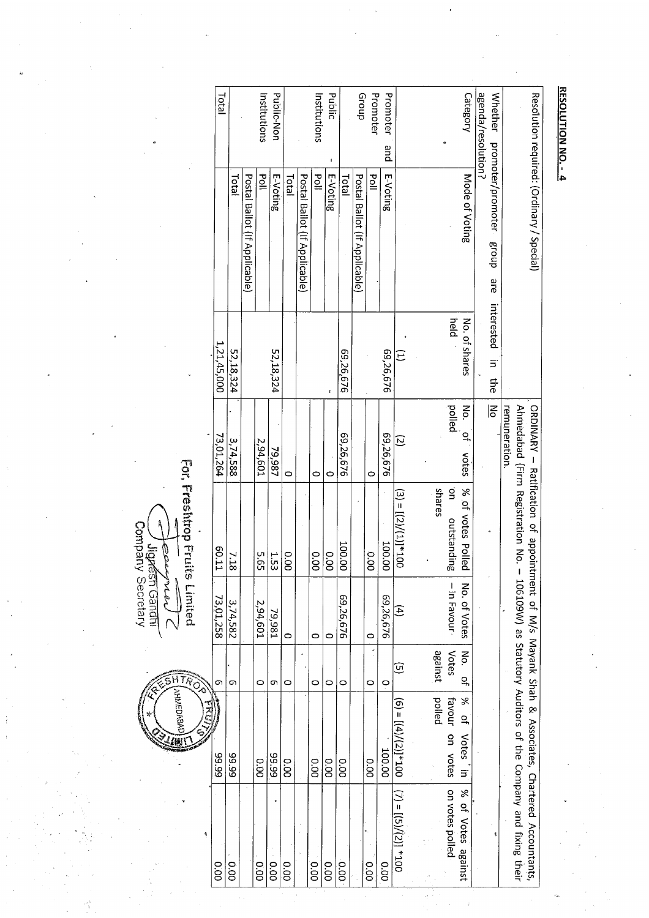| Category          | Mode of Voting                | held<br>No. of shares | pelled<br>Νó.<br>으,<br>votes | 9<br>% of votes Polled<br>outstanding | $-$ In Favour<br>No. of Votes | Votes<br>No.<br>q | $\aleph$<br>favour on votes<br>٩Ļ<br>Votes in | on votes polled<br>% of Votes<br>against |
|-------------------|-------------------------------|-----------------------|------------------------------|---------------------------------------|-------------------------------|-------------------|-----------------------------------------------|------------------------------------------|
|                   |                               |                       |                              | spares                                |                               | against           | polled                                        |                                          |
| Promoter<br>pue   | E-Voting                      | 69,26,676             | 69,26,676<br>$\overline{c}$  | $(3) = [(2)/(1)]^{*}100$<br>100.00    | 69,26,676<br>E                | ⊕<br>Ģ            | $[6] = [(4]/(2)]^{*}100$<br>100.00            | $(7) = (7)(27)(21) = 77$<br>O.OO         |
| Promoter          | $\frac{5}{6}$                 |                       | 0                            | 0.00                                  | $\circ$                       | 0                 | 0.00                                          | $\frac{0}{20}$                           |
| drou <sub>5</sub> | Postal Ballot (If Applicable) |                       |                              |                                       |                               |                   |                                               |                                          |
|                   | <b>Total</b>                  | 69,26,676             | 69,26,676                    | 100.00                                | 69,26,676                     | $\circ$           | O.OO                                          | 00.0                                     |
| <b>Public</b>     | E-Voting                      |                       | 0                            | 0.00                                  | ¢                             | 0                 | 00.0                                          | 0.00                                     |
| Institutions      | $\frac{5}{9}$                 |                       | 0                            | 0.00                                  | $\circ$                       | $\circ$           | 00.00                                         | 0.00                                     |
|                   | Postal Ballot (If Applicable) |                       |                              |                                       |                               |                   |                                               |                                          |
|                   | Total                         |                       | $\circ$                      | 0.00                                  | $\circ$                       | $\circ$           | o.oo                                          | 0.00                                     |
| Public-Non        | E-Voting                      | 52,18,324             | 79,987                       | 1.53                                  | 79,981                        | c                 | 66'66                                         | 0.00                                     |
| Institutions      | $\frac{1}{9}$                 |                       | 2,94,601                     | 5.65                                  | 2,94,601                      | O                 | 00.0                                          | 0.00                                     |
|                   | Postal Ballot (If Applicable) |                       |                              |                                       |                               |                   |                                               |                                          |
|                   | Total                         | 52,18,324             | 3,74,588                     | 7.18                                  | 3,74,582                      | Ó                 | 66.66                                         | <b>00.00</b>                             |
| <b>Lotal</b>      |                               | 1,21,45,000           | 73,01,264                    | ED.11                                 | 73,01,258                     | თ                 | 66'66                                         | 00.0                                     |

لكي بالعامون /<br>Company Secretary<br>Company Secretary eenpro

 $\sum_{i=1}^{n}$ 

**HTMEDABA**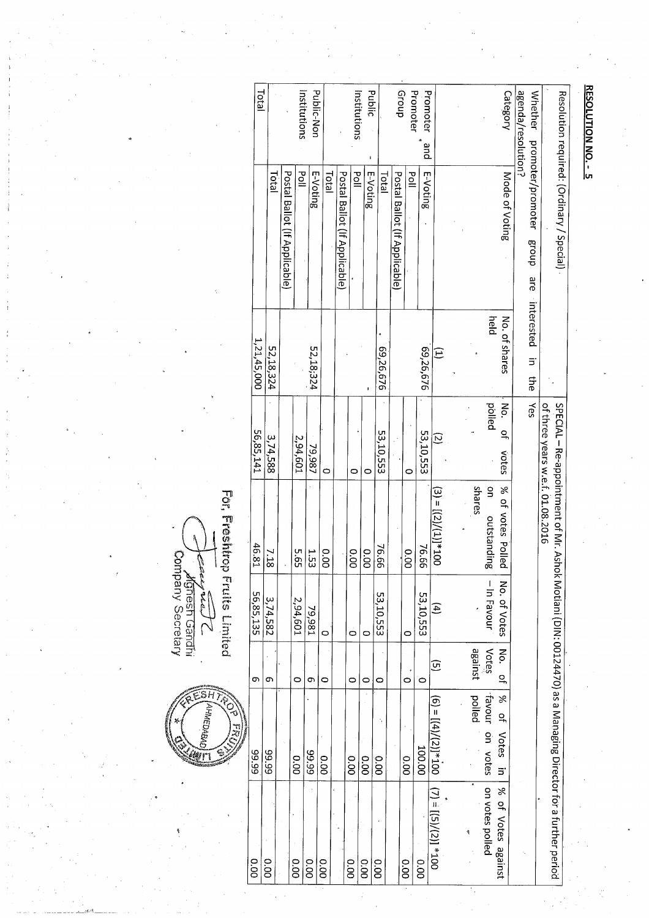| <b>Total</b> |           |                               | Institutions | Public-Non |         |                               | Institutions  | Public   |           | dno <sub>1</sub> 9            | Promoter | Promoter<br>pue |                          |                  |                              | Category                                      | agenda/resolution?<br><b>Whether</b> |                                  |                                                                                                           |  |
|--------------|-----------|-------------------------------|--------------|------------|---------|-------------------------------|---------------|----------|-----------|-------------------------------|----------|-----------------|--------------------------|------------------|------------------------------|-----------------------------------------------|--------------------------------------|----------------------------------|-----------------------------------------------------------------------------------------------------------|--|
|              | Total     | Postal Ballot (If Applicable) | pdl          | E-Voting   | Total   | Postal Ballot (If Applicabie) | $\frac{5}{6}$ | E-Voting | Total     | Postal Ballot (If Applicable) | Pol      | E-Voting        |                          |                  |                              | Mode of Voting                                | promoter/promoter<br>dnoug<br>are    |                                  | Resolution required: (Ordinary / Special)                                                                 |  |
| 1,21,45,000  | 52,18,324 |                               |              | 52,18;324  |         |                               |               |          | 69,26,676 |                               |          | 69,26,676       | Ε                        |                  | held                         | No. of shares                                 | interested<br>$\Xi$<br>다<br>아        |                                  |                                                                                                           |  |
| 56,85,141    | 3,74,588  |                               | 2,94,601     | 79,987     | ٥       |                               | $\bullet$     | 0        | 53,10,553 |                               | 0        | 53,10,553       | Ø                        |                  | polled                       | Νo.<br>$\overline{a}$<br>votes                | Yes                                  | of three years w.e.f. 01.08.2016 |                                                                                                           |  |
| 46.81        | 7.18      |                               | 59.9         | 1.53       | 0.00    |                               | 0.00          | 0.00     | 76.66     |                               | 0.00     | 76.66           | $(3) = [(2)/(1)]^{*}100$ | spares           | $\frac{1}{2}$<br>outstanding | % of votes Polled                             |                                      |                                  |                                                                                                           |  |
| 56,85,135    | 3,74,582  |                               | 2,94,601     | 79,981     | $\circ$ |                               | 0             | $\circ$  | 53,10,553 |                               | $\circ$  | 53,10,553       | $\widehat{A}$            |                  | $-$ In Favour                | No. of Votes                                  |                                      |                                  |                                                                                                           |  |
| თ            | თ         |                               | $\circ$      | თ          | 0       |                               | 0             | O        | O         |                               | O        | 0               | ତ୍ର                      | Votes<br>against |                              | No.<br>q                                      |                                      |                                  |                                                                                                           |  |
| 66'66        | 66'66     |                               | 0.00         | 66.66      | 0.00    |                               | 0.00          | 0.00     | 00.0      |                               | 0.00     | 100.00          | $[6] = [(4)/(2)]^{*}100$ | polled           | favour on votes              | X<br>$\frac{1}{2}$<br>Votes<br>$\overline{5}$ |                                      |                                  |                                                                                                           |  |
| 0.00         | 0.00      |                               | 0.00         | 0.00       | 0.00    |                               | 0.00          | 0.00     | 0.00      |                               | 00.00    | 0.00            | $001_* [(2)/(5)] = (L)$  |                  | on votes polled              | % of Votes against                            |                                      |                                  | SPECIAL – Re-appointment of Mr. Ashok Motiani (DIN: 00124470) as a Managing Director for a further period |  |

 $5H$ (О<del>ү</del>зүрэлүүү) Wr

**Carywal**<br>Monesh Gandhi<br>Company Secretary

For, Freshtrop Fruits Limited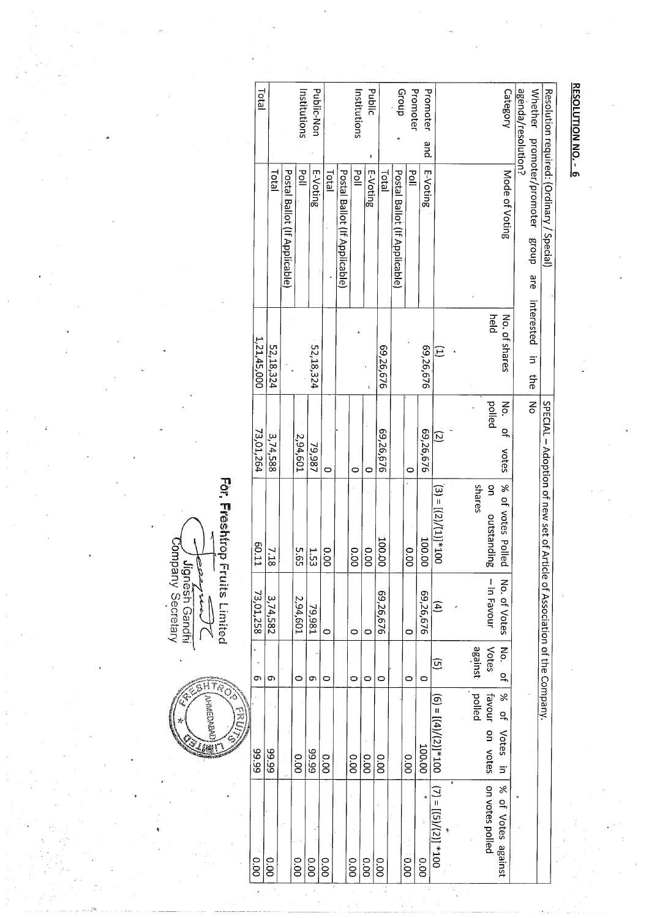|                    | Resolution required: (Ordinary / Special) |                             |                          | SPECIAL - Adoption of new set of Article of Association of the Company. |                |                         |                                                 |                                                                      |
|--------------------|-------------------------------------------|-----------------------------|--------------------------|-------------------------------------------------------------------------|----------------|-------------------------|-------------------------------------------------|----------------------------------------------------------------------|
| agenda/resolution? | Whether promoter/promoter group are       | interested<br>$\equiv$<br>₽ | ξ                        |                                                                         |                |                         |                                                 |                                                                      |
| Category           | Mode of Voting                            | No. of shares               | No.<br><u>ុ</u><br>votes | % of votes Polled                                                       | No. of Votes   | No.<br>$\frac{1}{2}$    | $\aleph$<br>q<br><b>Votes</b><br>$\overline{5}$ | % of Votes against                                                   |
|                    |                                           | held                        | polled                   | spares<br>$\frac{1}{2}$<br>outstanding                                  | - In Favour    | Votes<br>against        | polled<br>favour on votes                       | on votes polled                                                      |
|                    |                                           |                             |                          |                                                                         |                |                         |                                                 |                                                                      |
|                    |                                           | Ξ                           | $\overline{c}$           | $001*[(1)]/(7)] = (5)$                                                  | $\mathfrak{g}$ | $\widehat{\bm{\omega}}$ |                                                 | $(6) = \frac{[(4)]}{[(5)]} \times 100$ $(7) = [(5)]/(2)] \times 100$ |
| Promoter<br>pue    | E-Voting                                  | 69,26,676                   | 69,26,676                | 100.00                                                                  | 69,26,676      | c                       | 100.00                                          | 0.00                                                                 |
| Promoter           | 일                                         |                             | $\circ$                  | 0.00                                                                    | $\circ$        | ٥                       | 0.00                                            | 0.00                                                                 |
| dnou <sub>5</sub>  | Postal Ballot (If Applicable)             |                             |                          |                                                                         |                |                         |                                                 |                                                                      |
|                    | <b>Total</b>                              | 69,26,676                   | 69,26,676                | 00.001                                                                  | 69,26,676      | $\circ$                 | O.O                                             | 0.00                                                                 |
| Public             | E-Voting                                  |                             | 0                        | 0.00                                                                    | $\circ$        | 0                       | 00.0                                            | 0.00                                                                 |
| Institutions       | Poll                                      |                             | 0                        | 0.00                                                                    | 0              | $\circ$                 | 0.00                                            | 0.00                                                                 |
|                    | Postal Ballot (If Applicable)             |                             |                          |                                                                         |                |                         |                                                 |                                                                      |
|                    | <b>Total</b>                              |                             | $\circ$                  | 0.00                                                                    | $\circ$        | 0                       | 0.00                                            | O.OO                                                                 |
| Public-Non         | E-Voting                                  | 52,18,324                   | 79,987                   | 1.53                                                                    | 79,981         | Ō                       | 66'66                                           | 0.00                                                                 |
| Institutions       | $\frac{5}{10}$                            |                             | 2,94,601                 | 595                                                                     | 2,94,601       | $\circ$                 | 0.00                                            | 00.00                                                                |
|                    | Postal Ballot (If Applicable)             |                             |                          |                                                                         |                |                         |                                                 |                                                                      |
|                    | Total                                     | 52,18,324                   | 3,74,588                 | 7.18                                                                    | 3,74,582       | Ō                       | 66°66                                           | o.o                                                                  |
| <b>I</b> ctal      |                                           | 1,21,45,000                 | 73,01,264                | LT 09                                                                   | 73,01,258      | σ١                      | 66'66                                           | 0.00                                                                 |
|                    |                                           |                             |                          |                                                                         |                |                         | ホミン                                             |                                                                      |

HŦ

**AHAGDABA** 

For, Freshtrop Fruits Limited **Accepted**<br>Jignesh Gandhi<br>Company Secretary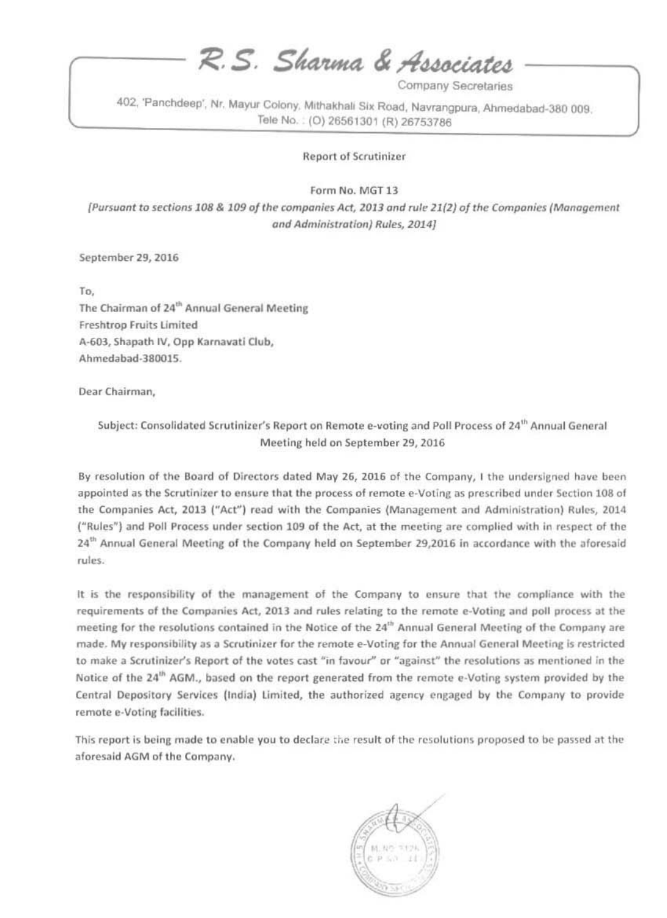R.S. Sharma & Associates

Company Secretaries

402, 'Panchdeep', Nr. Mayur Colony, Mithakhali Six Road, Navrangpura, Ahmedabad-380 009. Tele No.: (O) 26561301 (R) 26753786

### **Report of Scrutinizer**

Form No. MGT 13

[Pursuant to sections 108 & 109 of the companies Act, 2013 and rule 21(2) of the Companies (Management and Administration) Rules, 2014]

September 29, 2016

To. The Chairman of 24<sup>th</sup> Annual General Meeting Freshtrop Fruits Limited A-603, Shapath IV, Opp Karnavati Club, Ahmedabad-380015.

Dear Chairman,

Subject: Consolidated Scrutinizer's Report on Remote e-voting and Poll Process of 24<sup>th</sup> Annual General Meeting held on September 29, 2016

By resolution of the Board of Directors dated May 26, 2016 of the Company, I the undersigned have been appointed as the Scrutinizer to ensure that the process of remote e-Voting as prescribed under Section 108 of the Companies Act, 2013 ("Act") read with the Companies (Management and Administration) Rules, 2014 ("Rules") and Poll Process under section 109 of the Act, at the meeting are complied with in respect of the 24<sup>th</sup> Annual General Meeting of the Company held on September 29,2016 in accordance with the aforesaid rules.

It is the responsibility of the management of the Company to ensure that the compliance with the requirements of the Companies Act, 2013 and rules relating to the remote e-Voting and poll process at the meeting for the resolutions contained in the Notice of the 24<sup>th</sup> Annual General Meeting of the Company are made. My responsibility as a Scrutinizer for the remote e-Voting for the Annual General Meeting is restricted to make a Scrutinizer's Report of the votes cast "in favour" or "against" the resolutions as mentioned in the Notice of the 24<sup>th</sup> AGM., based on the report generated from the remote e-Voting system provided by the Central Depository Services (India) Limited, the authorized agency engaged by the Company to provide remote e-Voting facilities.

This report is being made to enable you to declare the result of the resolutions proposed to be passed at the aforesaid AGM of the Company.

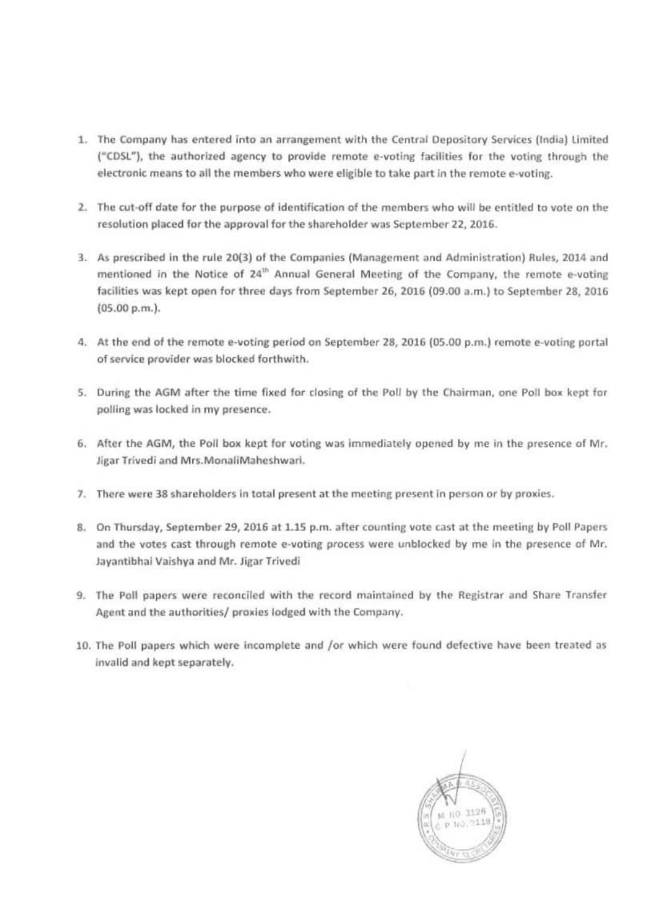- 1. The Company has entered into an arrangement with the Central Depository Services (India) Limited ("CDSL"), the authorized agency to provide remote e-voting facilities for the voting through the electronic means to all the members who were eligible to take part in the remote e-voting.
- 2. The cut-off date for the purpose of identification of the members who will be entitled to vote on the resolution placed for the approval for the shareholder was September 22, 2016.
- 3. As prescribed in the rule 20(3) of the Companies (Management and Administration) Rules, 2014 and mentioned in the Notice of 24<sup>th</sup> Annual General Meeting of the Company, the remote e-voting facilities was kept open for three days from September 26, 2016 (09.00 a.m.) to September 28, 2016 (05.00 p.m.).
- 4. At the end of the remote e-voting period on September 28, 2016 (05.00 p.m.) remote e-voting portal of service provider was blocked forthwith.
- 5. During the AGM after the time fixed for closing of the Poll by the Chairman, one Poll box kept for polling was locked in my presence.
- 6. After the AGM, the Poll box kept for voting was immediately opened by me in the presence of Mr. Jigar Trivedi and Mrs.MonaliMaheshwari.
- 7. There were 38 shareholders in total present at the meeting present in person or by proxies.
- 8. On Thursday, September 29, 2016 at 1.15 p.m. after counting vote cast at the meeting by Poll Papers and the votes cast through remote e-voting process were unblocked by me in the presence of Mr. Jayantibhai Vaishya and Mr. Jigar Trivedi
- 9. The Poll papers were reconciled with the record maintained by the Registrar and Share Transfer Agent and the authorities/ proxies lodged with the Company.
- 10. The Poll papers which were incomplete and /or which were found defective have been treated as invalid and kept separately.

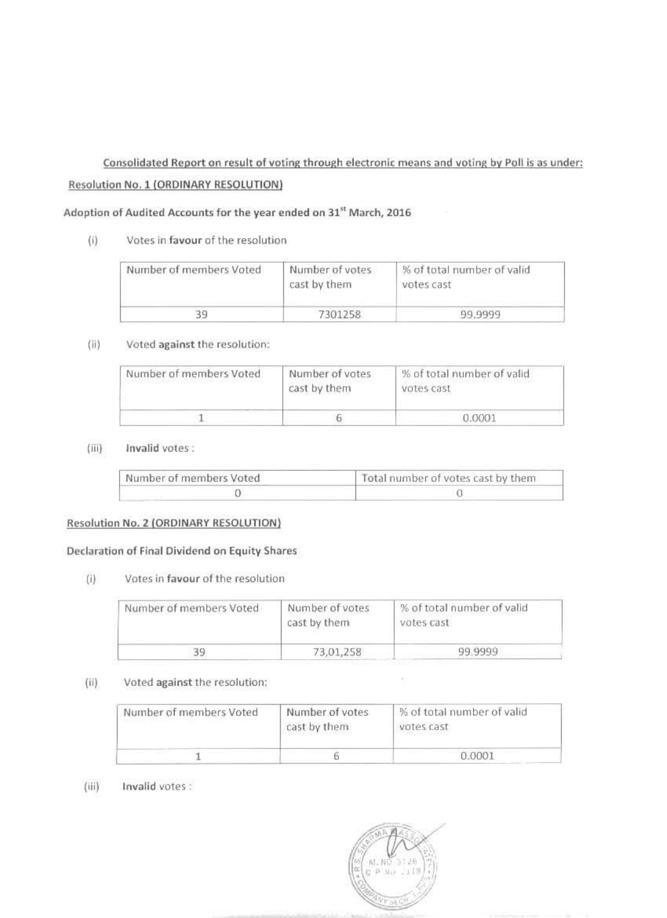# Consolidated Report on result of voting through electronic means and voting by Poll is as under: Resolution No. 1 (ORDINARY RESOLUTION)

### Adoption of Audited Accounts for the year ended on 31<sup>st</sup> March, 2016

#### Votes in favour of the resolution  $(i)$

| Number of members Voted | Number of votes<br>cast by them | % of total number of valid<br>votes cast |
|-------------------------|---------------------------------|------------------------------------------|
|                         | 7301258                         | 99.9999                                  |

#### $(ii)$ Voted against the resolution:

| Number of members Voted | Number of votes<br>cast by them | % of total number of valid<br>아버지는 아이가 아니 그는 사람이 없어요. 그 사람은 어머니는 어머니는 것 같아.<br>votes cast |
|-------------------------|---------------------------------|-------------------------------------------------------------------------------------------|
|                         |                                 | 1.000                                                                                     |

#### Invalid votes:  $(iii)$

| Number of members Voted | Total number of votes cast by them |
|-------------------------|------------------------------------|
|                         |                                    |

### **Resolution No. 2 (ORDINARY RESOLUTION)**

### Declaration of Final Dividend on Equity Shares

Votes in favour of the resolution  $(i)$ 

| Number of members Voted | Number of votes<br>cast by them | % of total number of valid<br>votes cast |
|-------------------------|---------------------------------|------------------------------------------|
|                         | 73,01,258                       | 99.9999                                  |

#### $(ii)$ Voted against the resolution:

| Number of members Voted | Number of votes<br>cast by them | S of total number of valid<br>votes cast |
|-------------------------|---------------------------------|------------------------------------------|
|                         |                                 | 0.0001                                   |

#### Invalid votes:  $(iii)$



 $\sim$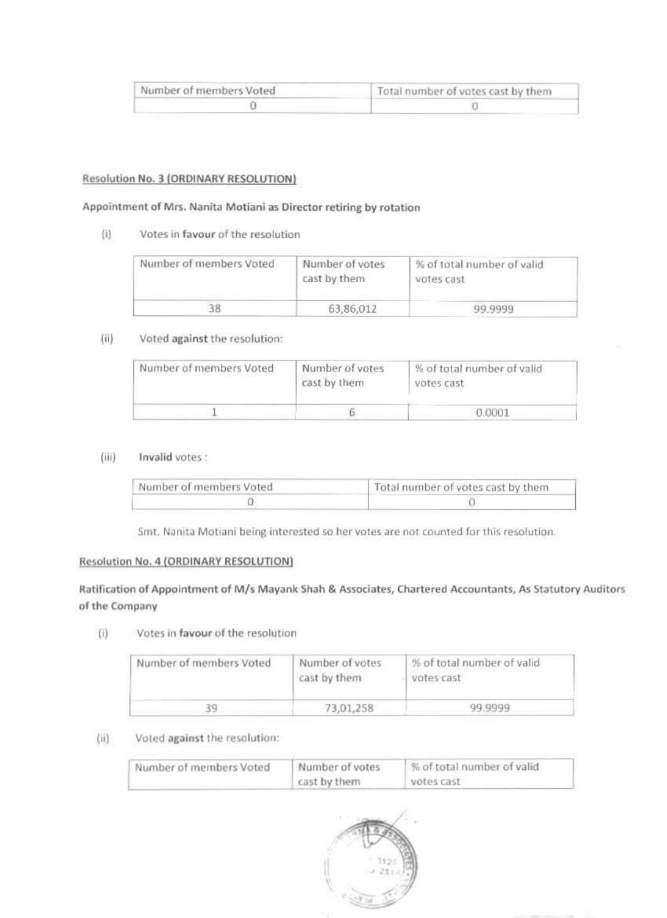| Number of members Voted | Total number of votes cast by them |
|-------------------------|------------------------------------|
|                         |                                    |

### **Resolution No. 3 (ORDINARY RESOLUTION)**

### Appointment of Mrs. Nanita Motiani as Director retiring by rotation

 $(i)$ Votes in favour of the resolution

| Number of members Voted | Number of votes<br>cast by them | % of total number of valid<br>votes cast |
|-------------------------|---------------------------------|------------------------------------------|
|                         | 63,86,012                       | 99.9999                                  |

#### $(ii)$ Voted against the resolution:

| Number of members Voted | Number of votes<br>cast by them | % of total number of valid<br>til senare og starte og starte starte og starte og starte og starte og starte og starte og starte og starte og<br>votes cast |
|-------------------------|---------------------------------|------------------------------------------------------------------------------------------------------------------------------------------------------------|
|                         |                                 | 0.0001                                                                                                                                                     |

#### $(iii)$ Invalid votes:

| Number of members Voted | Total number of votes cast by them |
|-------------------------|------------------------------------|
|                         |                                    |

Smt. Nanita Motiani being interested so her votes are not counted for this resolution.

### **Resolution No. 4 (ORDINARY RESOLUTION)**

Ratification of Appointment of M/s Mayank Shah & Associates, Chartered Accountants, As Statutory Auditors of the Company

Votes in favour of the resolution  $\langle 1 \rangle$ 

| Number of members Voted | Number of votes<br>cast by them | % of total number of valid<br>votes cast |
|-------------------------|---------------------------------|------------------------------------------|
|                         | 73.01.258                       | 99.9999                                  |

#### Voted against the resolution:  $(ii)$

| Number of members Voted | Number of votes | % of total number of valid |
|-------------------------|-----------------|----------------------------|
|                         | cast by them    | votes cast                 |

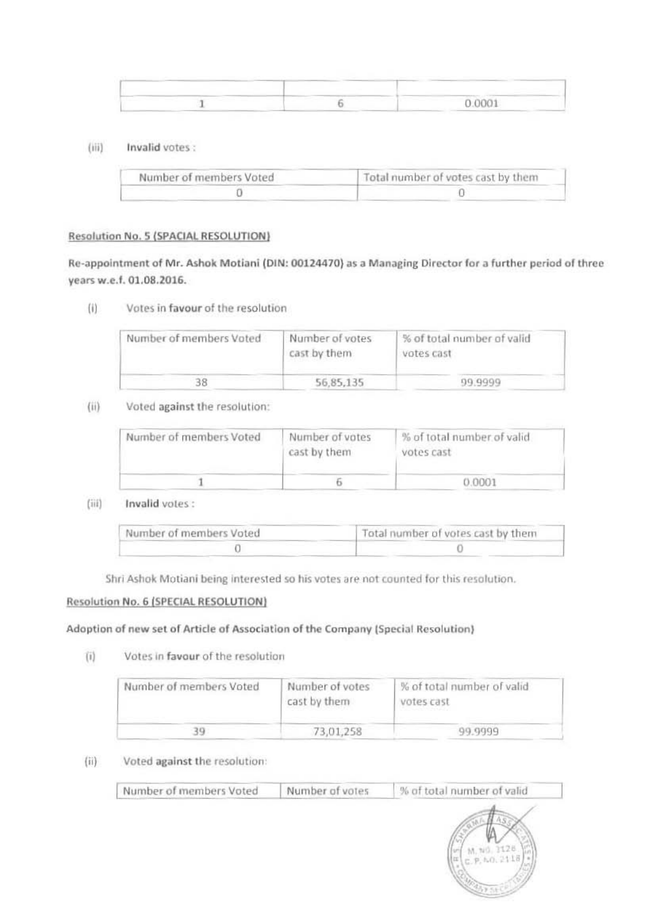|  | 0.0001 |
|--|--------|

 $(iii)$ Invalid votes :

| Number of members Voted | Total number of votes cast by them |
|-------------------------|------------------------------------|
|                         |                                    |

### Resolution No. 5 (SPACIAL RESOLUTION)

Re-appointment of Mr. Ashok Motiani (DIN: 00124470) as a Managing Director for a further period of three years w.e.f. 01.08.2016.

 $(i)$ Votes in favour of the resolution

| Number of members Voted | Number of votes<br>cast by them | % of total number of valid<br>votes cast |
|-------------------------|---------------------------------|------------------------------------------|
|                         | 56.85.135                       | 09.9999                                  |

Voted against the resolution:  $(ii)$ 

| Number of members Voted | Number of votes<br>cast by them | % of total number of valid<br>votes cast |
|-------------------------|---------------------------------|------------------------------------------|
|                         |                                 | 0.0001                                   |

 $(iii)$ Invalid votes:

| Number of members Voted | Total number of votes cast by them |
|-------------------------|------------------------------------|
|                         |                                    |

Shri Ashok Motiani being interested so his votes are not counted for this resolution.

### Resolution No. 6 (SPECIAL RESOLUTION)

### Adoption of new set of Article of Association of the Company (Special Resolution)

Votes in favour of the resolution  $(i)$ 

| Number of members Voted | Number of votes<br>cast by them | % of total number of valid<br>votes cast<br>and the control of the state of the |
|-------------------------|---------------------------------|---------------------------------------------------------------------------------|
|                         | 73,01,258                       | 99.9999                                                                         |

#### Voted against the resolution:  $(ii)$

| Number of members Voted | Number of votes | % of total number of valid |
|-------------------------|-----------------|----------------------------|
|                         |                 | M, N0, 2128.               |